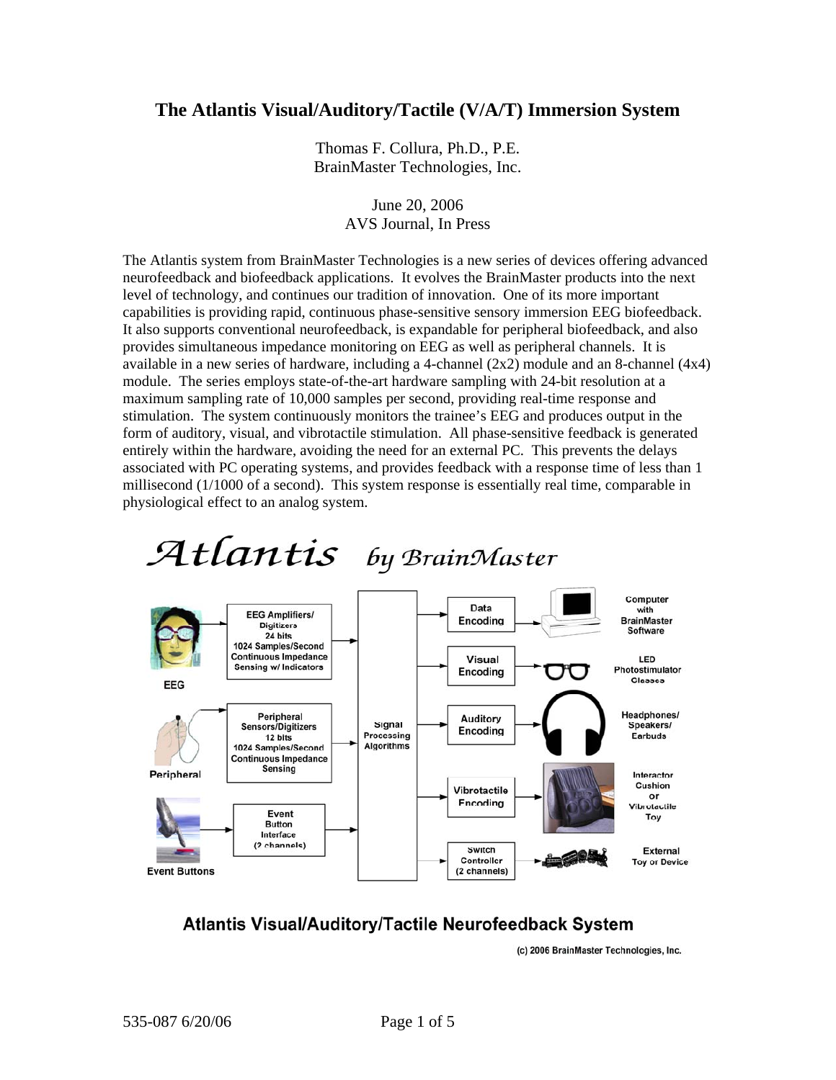## **The Atlantis Visual/Auditory/Tactile (V/A/T) Immersion System**

Thomas F. Collura, Ph.D., P.E. BrainMaster Technologies, Inc.

> June 20, 2006 AVS Journal, In Press

The Atlantis system from BrainMaster Technologies is a new series of devices offering advanced neurofeedback and biofeedback applications. It evolves the BrainMaster products into the next level of technology, and continues our tradition of innovation. One of its more important capabilities is providing rapid, continuous phase-sensitive sensory immersion EEG biofeedback. It also supports conventional neurofeedback, is expandable for peripheral biofeedback, and also provides simultaneous impedance monitoring on EEG as well as peripheral channels. It is available in a new series of hardware, including a 4-channel (2x2) module and an 8-channel (4x4) module. The series employs state-of-the-art hardware sampling with 24-bit resolution at a maximum sampling rate of 10,000 samples per second, providing real-time response and stimulation. The system continuously monitors the trainee's EEG and produces output in the form of auditory, visual, and vibrotactile stimulation. All phase-sensitive feedback is generated entirely within the hardware, avoiding the need for an external PC. This prevents the delays associated with PC operating systems, and provides feedback with a response time of less than 1 millisecond (1/1000 of a second). This system response is essentially real time, comparable in physiological effect to an analog system.





## **Atlantis Visual/Auditory/Tactile Neurofeedback System**

(c) 2006 BrainMaster Technologies, Inc.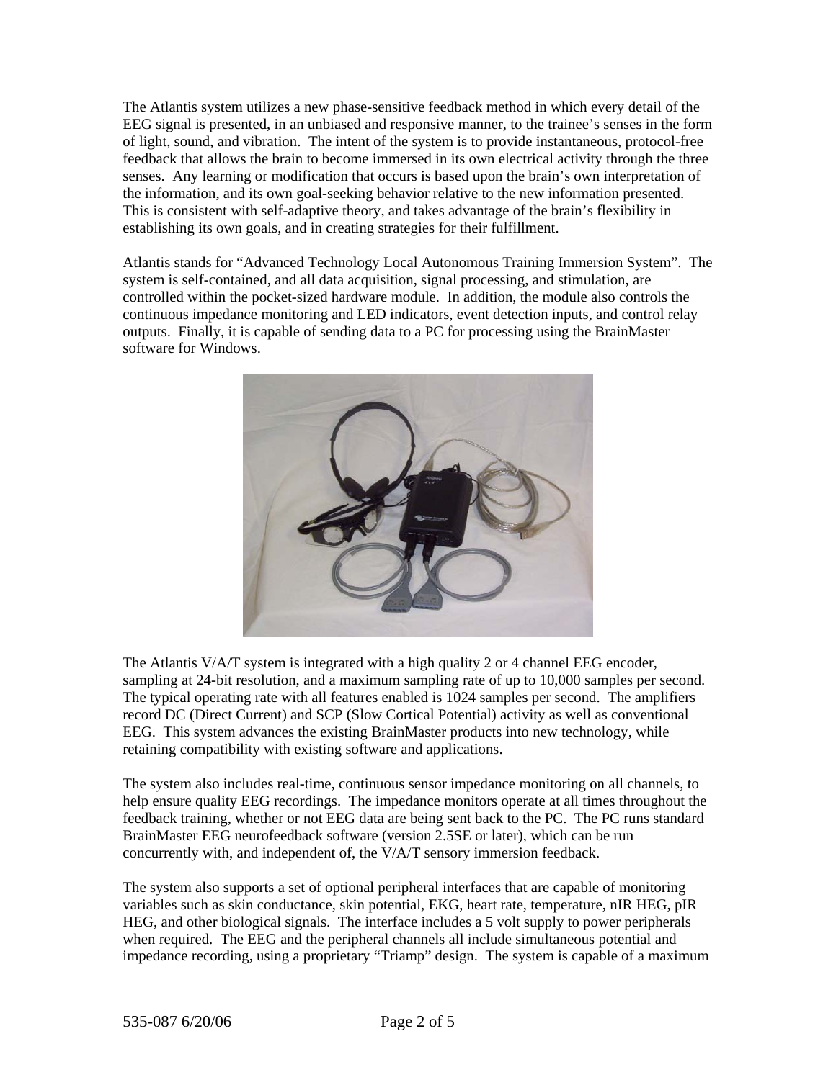The Atlantis system utilizes a new phase-sensitive feedback method in which every detail of the EEG signal is presented, in an unbiased and responsive manner, to the trainee's senses in the form of light, sound, and vibration. The intent of the system is to provide instantaneous, protocol-free feedback that allows the brain to become immersed in its own electrical activity through the three senses. Any learning or modification that occurs is based upon the brain's own interpretation of the information, and its own goal-seeking behavior relative to the new information presented. This is consistent with self-adaptive theory, and takes advantage of the brain's flexibility in establishing its own goals, and in creating strategies for their fulfillment.

Atlantis stands for "Advanced Technology Local Autonomous Training Immersion System". The system is self-contained, and all data acquisition, signal processing, and stimulation, are controlled within the pocket-sized hardware module. In addition, the module also controls the continuous impedance monitoring and LED indicators, event detection inputs, and control relay outputs. Finally, it is capable of sending data to a PC for processing using the BrainMaster software for Windows.



The Atlantis V/A/T system is integrated with a high quality 2 or 4 channel EEG encoder, sampling at 24-bit resolution, and a maximum sampling rate of up to 10,000 samples per second. The typical operating rate with all features enabled is 1024 samples per second. The amplifiers record DC (Direct Current) and SCP (Slow Cortical Potential) activity as well as conventional EEG. This system advances the existing BrainMaster products into new technology, while retaining compatibility with existing software and applications.

The system also includes real-time, continuous sensor impedance monitoring on all channels, to help ensure quality EEG recordings. The impedance monitors operate at all times throughout the feedback training, whether or not EEG data are being sent back to the PC. The PC runs standard BrainMaster EEG neurofeedback software (version 2.5SE or later), which can be run concurrently with, and independent of, the V/A/T sensory immersion feedback.

The system also supports a set of optional peripheral interfaces that are capable of monitoring variables such as skin conductance, skin potential, EKG, heart rate, temperature, nIR HEG, pIR HEG, and other biological signals. The interface includes a 5 volt supply to power peripherals when required. The EEG and the peripheral channels all include simultaneous potential and impedance recording, using a proprietary "Triamp" design. The system is capable of a maximum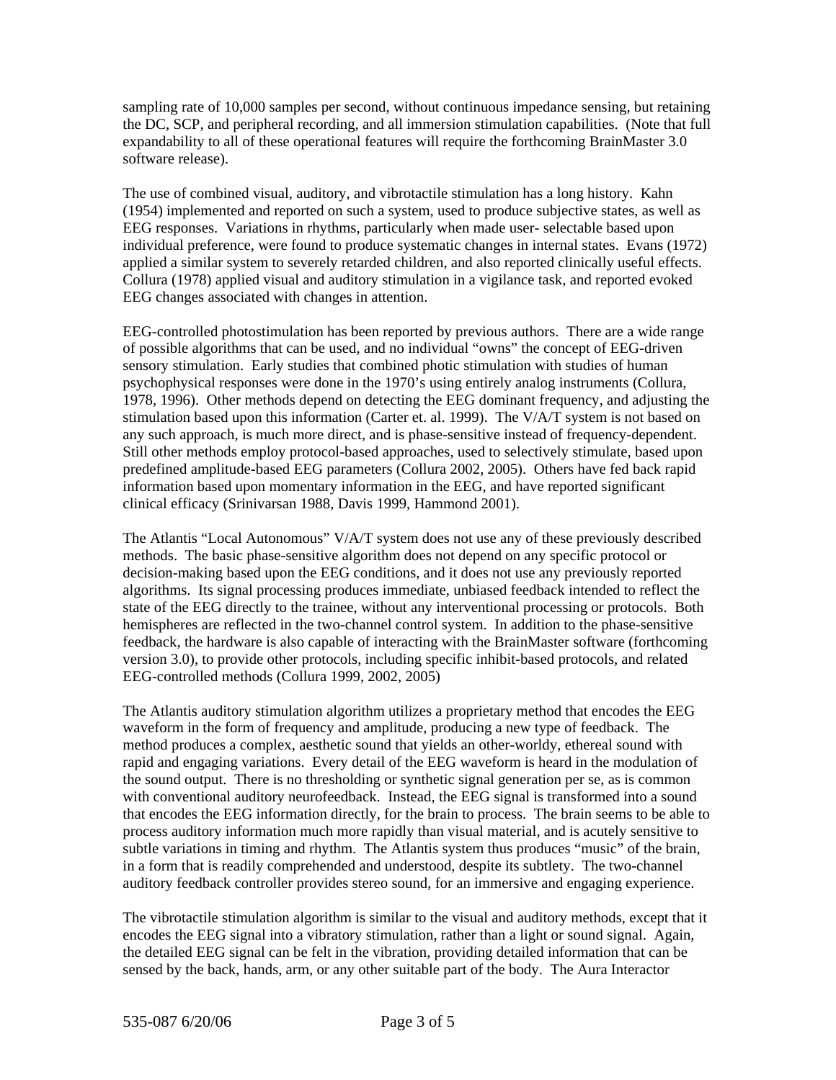sampling rate of 10,000 samples per second, without continuous impedance sensing, but retaining the DC, SCP, and peripheral recording, and all immersion stimulation capabilities. (Note that f ull expandability to all of these operational features will require the forthcoming BrainMaster 3.0 software release).

(1954) implemented and reported on such a system, used to produce subjective states, as well as applied a similar system to severely retarded children, and also reported clinically useful effects. Collura (1978) applied visual and auditory stimulation in a vigilance task, and reported evoked EG changes associated with changes in attention. E The use of combined visual, auditory, and vibrotactile stimulation has a long history. Kahn EEG responses. Variations in rhythms, particularly when made user- selectable based upon individual preference, were found to produce systematic changes in internal states. Evans (1972)

EEG-controlled photostimulation has been reported by previous authors. There are a wide range of possible algorithms that can be used, and no individual "owns" the concept of EEG-driven predefined amplitude-based EEG parameters (Collura 2002, 2005). Others have fed back rapid information based upon momentary information in the EEG, and have reported significant linical efficacy (Srinivarsan 1988, Davis 1999, Hammond 2001). c sensory stimulation. Early studies that combined photic stimulation with studies of human psychophysical responses were done in the 1970's using entirely analog instruments (Collura, 1978, 1996). Other methods depend on detecting the EEG dominant frequency, and adjusting the stimulation based upon this information (Carter et. al. 1999). The V/A/T system is not based on any such approach, is much more direct, and is phase-sensitive instead of frequency-dependent. Still other methods employ protocol-based approaches, used to selectively stimulate, based upon

The Atlantis "Local Autonomous" V/A/T system does not use any of these previously described feedback, the hardware is also capable of interacting with the BrainMaster software (forthcoming version 3.0), to provide other protocols, including specific inhibit-based protocols, and related EG-controlled methods (Collura 1999, 2002, 2005) E methods. The basic phase-sensitive algorithm does not depend on any specific protocol or decision-making based upon the EEG conditions, and it does not use any previously reported algorithms. Its signal processing produces immediate, unbiased feedback intended to reflect the state of the EEG directly to the trainee, without any interventional processing or protocols. Both hemispheres are reflected in the two-channel control system. In addition to the phase-sensitive

The Atlantis auditory stimulation algorithm utilizes a proprietary method that encodes the EEG subtle variations in timing and rhythm. The Atlantis system thus produces "music" of the brain, uditory feedback controller provides stereo sound, for an immersive and engaging experience. a waveform in the form of frequency and amplitude, producing a new type of feedback. The method produces a complex, aesthetic sound that yields an other-worldy, ethereal sound with rapid and engaging variations. Every detail of the EEG waveform is heard in the modulation of the sound output. There is no thresholding or synthetic signal generation per se, as is common with conventional auditory neurofeedback. Instead, the EEG signal is transformed into a sound that encodes the EEG information directly, for the brain to process. The brain seems to be able to process auditory information much more rapidly than visual material, and is acutely sensitive to in a form that is readily comprehended and understood, despite its subtlety. The two-channel

The vibrotactile stimulation algorithm is similar to the visual and auditory methods, except that it the detailed EEG signal can be felt in the vibration, providing detailed information that can be sensed by the back, hands, arm, or any other suitable part of the body. The Aura Interactor encodes the EEG signal into a vibratory stimulation, rather than a light or sound signal. Again,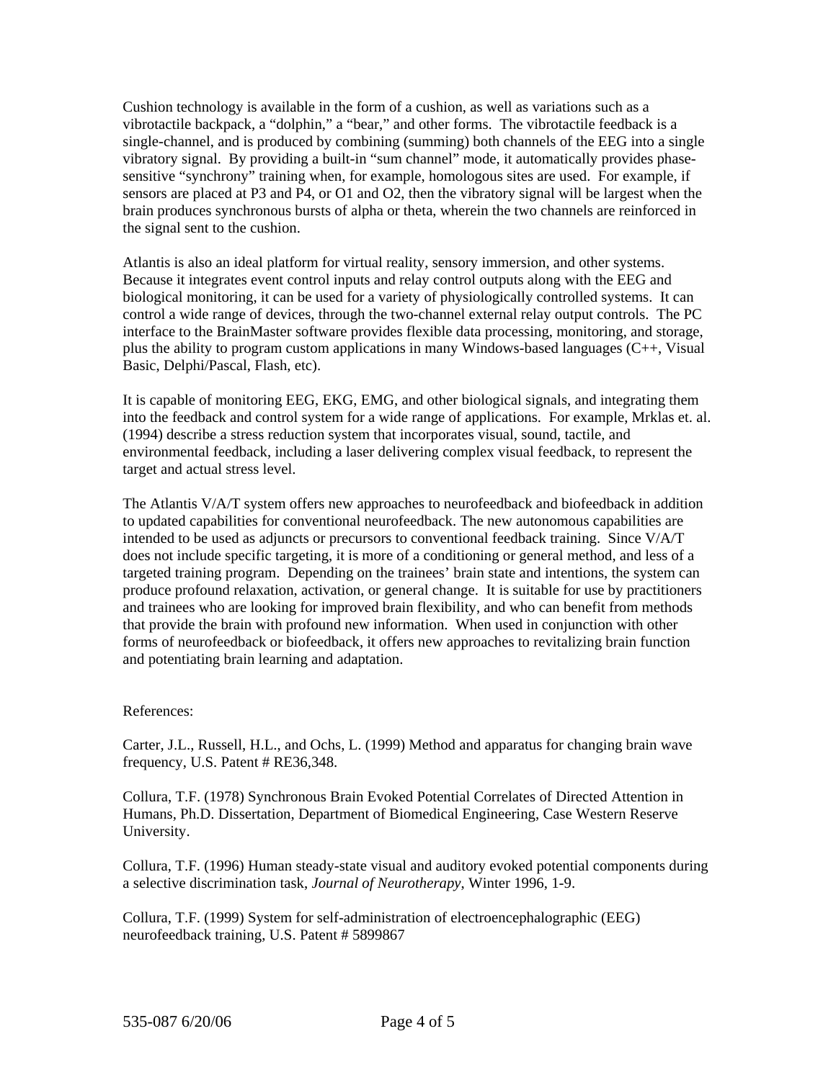Cushion technology is available in the form of a cushion, as well as variations such as a vibrotactile backpack, a "dolphin," a "bear," and other forms. The vibrotactile feedback is a single-channel, and is produced by combining (summing) both channels of the EEG into a single vibratory signal. By providing a built-in "sum channel" mode, it automatically provides phasesensitive "synchrony" training when, for example, homologous sites are used. For example, if sensors are placed at P3 and P4, or O1 and O2, then the vibratory signal will be largest when the brain produces synchronous bursts of alpha or theta, wherein the two channels are reinforced in the signal sent to the cushion.

plus the ability to program custom applications in many Windows-based languages (C++, Visual Basic, Delphi/Pascal, Flash, etc). Atlantis is also an ideal platform for virtual reality, sensory immersion, and other systems. Because it integrates event control inputs and relay control outputs along with the EEG and biological monitoring, it can be used for a variety of physiologically controlled systems. It can control a wide range of devices, through the two-channel external relay output controls. The PC interface to the BrainMaster software provides flexible data processing, monitoring, and storage,

into the feedback and control system for a wide range of applications. For example, Mrklas et. al. environmental feedback, including a laser delivering complex visual feedback, to represent the target and actual stress level. It is capable of monitoring EEG, EKG, EMG, and other biological signals, and integrating them (1994) describe a stress reduction system that incorporates visual, sound, tactile, and

The Atlantis V/A/T system offers new approaches to neurofeedback and biofeedback in addition and trainees who are looking for improved brain flexibility, and who can benefit from methods forms of neurofeedback or biofeedback, it offers new approaches to revitalizing brain function and potentiating brain learning and adaptation. to updated capabilities for conventional neurofeedback. The new autonomous capabilities are intended to be used as adjuncts or precursors to conventional feedback training. Since V/A/T does not include specific targeting, it is more of a conditioning or general method, and less of a targeted training program. Depending on the trainees' brain state and intentions, the system can produce profound relaxation, activation, or general change. It is suitable for use by practitioners that provide the brain with profound new information. When used in conjunction with other

## References:

Carter, J.L., Russell, H.L., and Ochs, L. (1999) Method and apparatus for changing brain wave frequency, U.S. Patent  $# RE36,348$ .

Humans, Ph.D. Dissertation, Department of Biomedical Engineering, Case Western Reserve University. Collura, T.F. (1978) Synchronous Brain Evoked Potential Correlates of Directed Attention in

Collura, T.F. (1996) Human steady-state visual and auditory evoked potential components during a selective discrimination task, *Journal of Neurotherapy*, Winter 1996, 1-9.

Collura, T.F. (1999) System for self-administration of electroencephalographic (EEG) neurofeedback training, U.S. Patent # 5899867